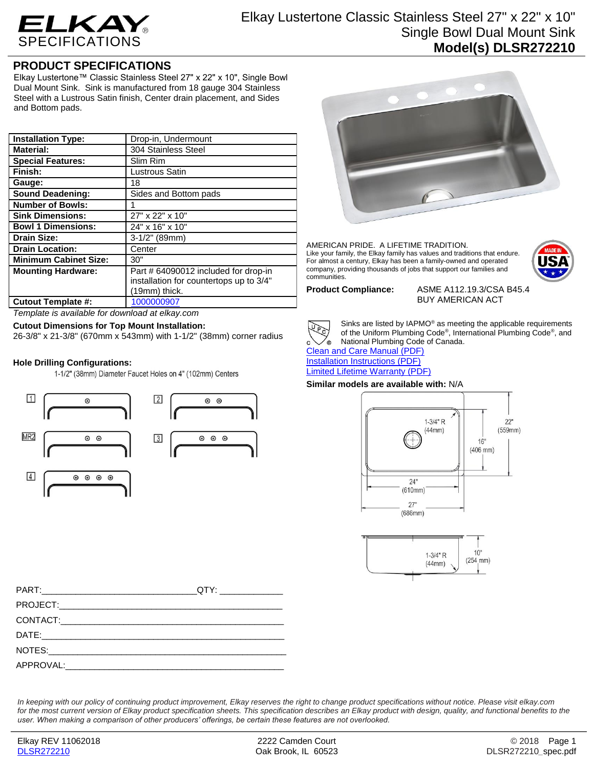

# **PRODUCT SPECIFICATIONS**

Elkay Lustertone™ Classic Stainless Steel 27" x 22" x 10", Single Bowl Dual Mount Sink. Sink is manufactured from 18 gauge 304 Stainless Steel with a Lustrous Satin finish, Center drain placement, and Sides and Bottom pads.

| <b>Installation Type:</b>    | Drop-in, Undermount                                                                              |
|------------------------------|--------------------------------------------------------------------------------------------------|
| <b>Material:</b>             | 304 Stainless Steel                                                                              |
| <b>Special Features:</b>     | Slim Rim                                                                                         |
| Finish:                      | <b>Lustrous Satin</b>                                                                            |
| Gauge:                       | 18                                                                                               |
| <b>Sound Deadening:</b>      | Sides and Bottom pads                                                                            |
| <b>Number of Bowls:</b>      |                                                                                                  |
| <b>Sink Dimensions:</b>      | 27" x 22" x 10"                                                                                  |
| <b>Bowl 1 Dimensions:</b>    | 24" x 16" x 10"                                                                                  |
| <b>Drain Size:</b>           | $3-1/2"$ (89mm)                                                                                  |
| <b>Drain Location:</b>       | Center                                                                                           |
| <b>Minimum Cabinet Size:</b> | 30"                                                                                              |
| <b>Mounting Hardware:</b>    | Part # 64090012 included for drop-in<br>installation for countertops up to 3/4"<br>(19mm) thick. |
| <b>Cutout Template #:</b>    | 1000000907                                                                                       |

*Template is available for download at elkay.com*

### **Cutout Dimensions for Top Mount Installation:**

26-3/8" x 21-3/8" (670mm x 543mm) with 1-1/2" (38mm) corner radius

### **Hole Drilling Configurations:**

1-1/2" (38mm) Diameter Faucet Holes on 4" (102mm) Centers





AMERICAN PRIDE. A LIFETIME TRADITION. Like your family, the Elkay family has values and traditions that endure. For almost a century, Elkay has been a family-owned and operated company, providing thousands of jobs that support our families and communities.



**Product Compliance:** ASME A112.19.3/CSA B45.4 BUY AMERICAN ACT



Sinks are listed by IAPMO® as meeting the applicable requirements of the Uniform Plumbing Code® , International Plumbing Code® , and National Plumbing Code of Canada.

[Clean and Care Manual \(PDF\)](http://www.elkay.com/wcsstore/lkdocs/care-cleaning-install-warranty-sheets/residential%20and%20commercial%20care%20%20cleaning.pdf) [Installation Instructions \(PDF\)](http://www.elkay.com/wcsstore/lkdocs/care-cleaning-install-warranty-sheets/74180147.pdf)

[Limited Lifetime Warranty](http://www.elkay.com/wcsstore/lkdocs/care-cleaning-install-warranty-sheets/residential%20sinks%20warranty.pdf) (PDF)

## **Similar models are available with:** N/A





| PART: Experimental and the contract of the contract of the contract of the contract of the contract of the contract of the contract of the contract of the contract of the contract of the contract of the contract of the con |  |
|--------------------------------------------------------------------------------------------------------------------------------------------------------------------------------------------------------------------------------|--|
|                                                                                                                                                                                                                                |  |
|                                                                                                                                                                                                                                |  |
|                                                                                                                                                                                                                                |  |
|                                                                                                                                                                                                                                |  |
|                                                                                                                                                                                                                                |  |

*In keeping with our policy of continuing product improvement, Elkay reserves the right to change product specifications without notice. Please visit elkay.com*  for the most current version of Elkay product specification sheets. This specification describes an Elkay product with design, quality, and functional benefits to the *user. When making a comparison of other producers' offerings, be certain these features are not overlooked.*